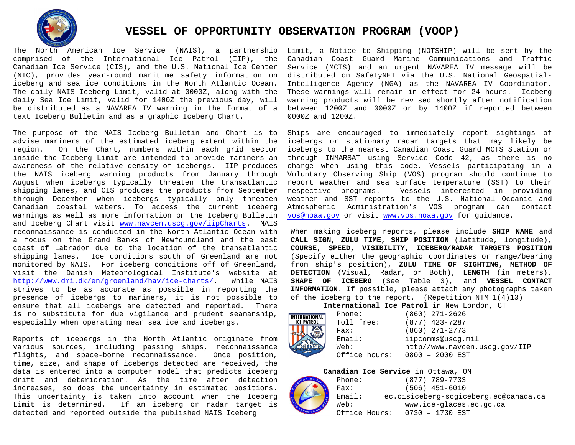

# **VESSEL OF OPPORTUNITY OBSERVATION PROGRAM (VOOP)**

The North American Ice Service (NAIS), a partnership comprised of the International Ice Patrol (IIP), the Canadian Ice Service (CIS), and the U.S. National Ice Center (NIC), provides year-round maritime safety information on iceberg and sea ice conditions in the North Atlantic Ocean. The daily NAIS Iceberg Limit, valid at 0000Z, along with the daily Sea Ice Limit, valid for 1400Z the previous day, will be distributed as a NAVAREA IV warning in the format of a text Iceberg Bulletin and as a graphic Iceberg Chart.

The purpose of the NAIS Iceberg Bulletin and Chart is to advise mariners of the estimated iceberg extent within the region. On the Chart, numbers within each grid sector On the Chart, numbers within each grid sector inside the Iceberg Limit are intended to provide mariners an awareness of the relative density of icebergs. IIP produces the NAIS iceberg warning products from January through August when icebergs typically threaten the transatlantic shipping lanes, and CIS produces the products from September through December when icebergs typically only threaten Canadian coastal waters. To access the current iceberg warnings as well as more information on the Iceberg Bulletin and Iceberg Chart visit [www.navcen.uscg.gov/iipCharts.](http://www.navcen.uscg.gov/iipCharts) NAIS reconnaissance is conducted in the North Atlantic Ocean with a focus on the Grand Banks of Newfoundland and the east coast of Labrador due to the location of the transatlantic shipping lanes. Ice conditions south of Greenland are not monitored by NAIS. For iceberg conditions off of Greenland, visit the Danish Meteorological Institute's website at<br>http://www.dmi.dk/en/groenland/hav/ice-charts/. While NAIS [http://www.dmi.dk/en/groenland/hav/ice-charts/.](http://www.dmi.dk/en/groenland/hav/ice-charts/) strives to be as accurate as possible in reporting the presence of icebergs to mariners, it is not possible to ensure that all icebergs are detected and reported. There is no substitute for due vigilance and prudent seamanship, especially when operating near sea ice and icebergs.

Reports of icebergs in the North Atlantic originate from various sources, including passing ships, reconnaissance<br>flights, and space-borne reconnaissance. Once position, flights, and space-borne reconnaissance. time, size, and shape of icebergs detected are received, the data is entered into a computer model that predicts iceberg drift and deterioration. As the time after detection increases, so does the uncertainty in estimated positions. This uncertainty is taken into account when the Iceberg Limit is determined. If an iceberg or radar target is detected and reported outside the published NAIS Iceberg

Limit, a Notice to Shipping (NOTSHIP) will be sent by the Canadian Coast Guard Marine Communications and Traffic Service (MCTS) and an urgent NAVAREA IV message will be distributed on SafetyNET via the U.S. National Geospatial-Intelligence Agency (NGA) as the NAVAREA IV Coordinator. These warnings will remain in effect for 24 hours. Iceberg warning products will be revised shortly after notification between 1200Z and 0000Z or by 1400Z if reported between 0000Z and 1200Z.

Ships are encouraged to immediately report sightings of icebergs or stationary radar targets that may likely be icebergs to the nearest Canadian Coast Guard MCTS Station or through INMARSAT using Service Code 42, as there is no charge when using this code. Vessels participating in a Voluntary Observing Ship (VOS) program should continue to report weather and sea surface temperature (SST) to their<br>respective programs. Vessels interested in providing Vessels interested in providing weather and SST reports to the U.S. National Oceanic and Atmospheric Administration's VOS program can contact [vos@noaa.gov](mailto:vos@noaa.gov) or visit [www.vos.noaa.gov](http://www.vos.noaa.gov/) for guidance.

When making iceberg reports, please include **SHIP NAME** and **CALL SIGN, ZULU TIME, SHIP POSITION** (latitude, longitude), **COURSE, SPEED, VISIBILITY, ICEBERG/RADAR TARGETS POSITION** (Specify either the geographic coordinates or range/bearing from ship's position), **ZULU TIME OF SIGHTING, METHOD OF DETECTION** (Visual, Radar, or Both), **LENGTH** (in meters), **SHAPE OF ICEBERG** (See Table 3), and **VESSEL CONTACT INFORMATION**. If possible, please attach any photographs taken of the iceberg to the report. (Repetition NTM 1(4)13)

**International Ice Patrol** in New London, CT

| Phone:        | $(860)$ 271-2626              |
|---------------|-------------------------------|
| Toll free:    | $(877)$ 423-7287              |
| Fast:         | $(860)$ 271-2773              |
| Email:        | iipcomms@uscq.mil             |
| Web:          | http//www.navcen.uscg.gov/IIP |
| Office hours: | $0800 - 2000$ EST             |
|               |                               |

# **Canadian Ice Service** in Ottawa, ON<br>Phone: (877) 789-7733



Phone: (877) 789-7733<br>
Fax: (506) 451-6010 Fax: (506) 451-6010<br>Email: ec.cisiceberg-scgic ec.cisiceberg-scgiceberg.ec@canada.ca Web: www.ice-glaces.ec.gc.ca Office Hours: 0730 – 1730 EST